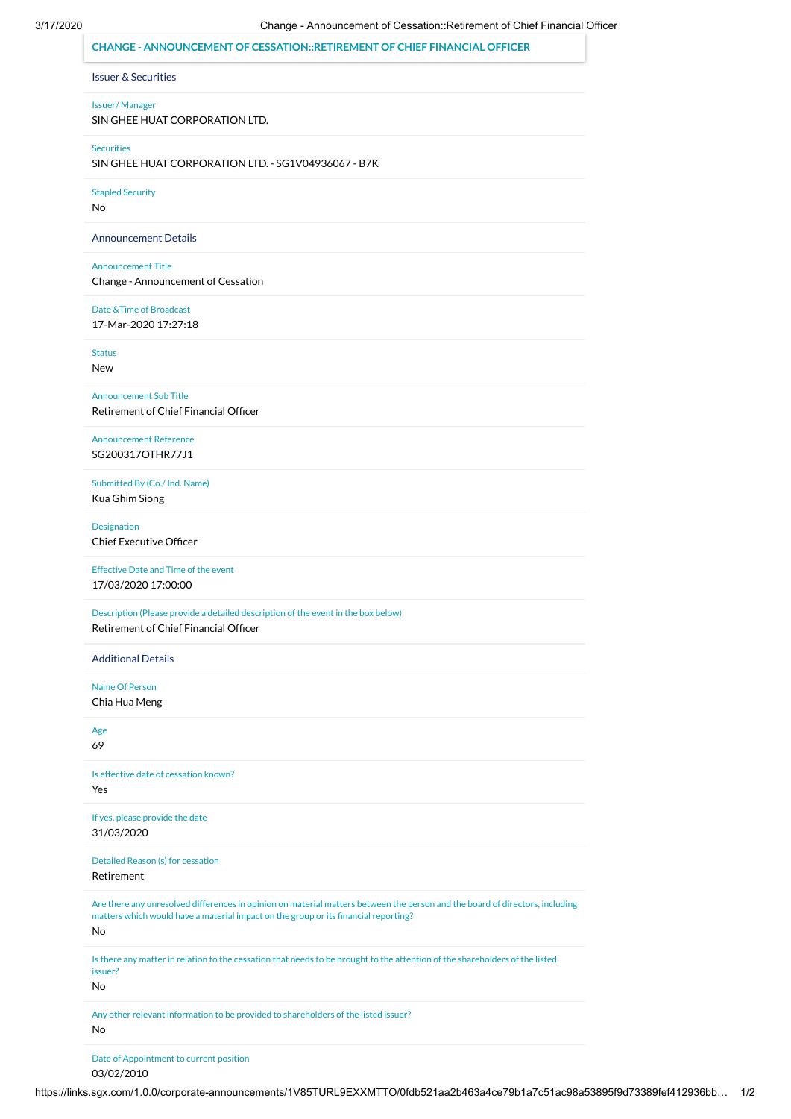| <b>Issuer &amp; Securities</b><br><b>Issuer/Manager</b><br>SIN GHEE HUAT CORPORATION LTD.<br><b>Securities</b><br>SIN GHEE HUAT CORPORATION LTD. - SG1V04936067 - B7K<br><b>Stapled Security</b><br>No<br><b>Announcement Details</b><br><b>Announcement Title</b><br>Change - Announcement of Cessation<br>Date & Time of Broadcast<br>17-Mar-2020 17:27:18<br><b>Status</b><br>New<br><b>Announcement Sub Title</b><br>Retirement of Chief Financial Officer<br><b>Announcement Reference</b><br>SG200317OTHR77J1<br>Submitted By (Co./ Ind. Name)<br>Kua Ghim Siong<br>Designation<br><b>Chief Executive Officer</b><br><b>Effective Date and Time of the event</b><br>17/03/2020 17:00:00<br>Description (Please provide a detailed description of the event in the box below)<br>Retirement of Chief Financial Officer<br><b>Additional Details</b><br>Name Of Person<br>Chia Hua Meng<br>Age<br>69<br>Is effective date of cessation known?<br>Yes<br>If yes, please provide the date<br>31/03/2020<br>Detailed Reason (s) for cessation<br>Retirement<br>Are there any unresolved differences in opinion on material matters between the person and the board of directors, including<br>matters which would have a material impact on the group or its financial reporting?<br>No<br>Is there any matter in relation to the cessation that needs to be brought to the attention of the shareholders of the listed<br>issuer? | <b>CHANGE - ANNOUNCEMENT OF CESSATION::RETIREMENT OF CHIEF FINANCIAL OFFICER</b> |
|--------------------------------------------------------------------------------------------------------------------------------------------------------------------------------------------------------------------------------------------------------------------------------------------------------------------------------------------------------------------------------------------------------------------------------------------------------------------------------------------------------------------------------------------------------------------------------------------------------------------------------------------------------------------------------------------------------------------------------------------------------------------------------------------------------------------------------------------------------------------------------------------------------------------------------------------------------------------------------------------------------------------------------------------------------------------------------------------------------------------------------------------------------------------------------------------------------------------------------------------------------------------------------------------------------------------------------------------------------------------------------------------------------------------------------------|----------------------------------------------------------------------------------|
|                                                                                                                                                                                                                                                                                                                                                                                                                                                                                                                                                                                                                                                                                                                                                                                                                                                                                                                                                                                                                                                                                                                                                                                                                                                                                                                                                                                                                                      |                                                                                  |
|                                                                                                                                                                                                                                                                                                                                                                                                                                                                                                                                                                                                                                                                                                                                                                                                                                                                                                                                                                                                                                                                                                                                                                                                                                                                                                                                                                                                                                      |                                                                                  |
|                                                                                                                                                                                                                                                                                                                                                                                                                                                                                                                                                                                                                                                                                                                                                                                                                                                                                                                                                                                                                                                                                                                                                                                                                                                                                                                                                                                                                                      |                                                                                  |
|                                                                                                                                                                                                                                                                                                                                                                                                                                                                                                                                                                                                                                                                                                                                                                                                                                                                                                                                                                                                                                                                                                                                                                                                                                                                                                                                                                                                                                      |                                                                                  |
|                                                                                                                                                                                                                                                                                                                                                                                                                                                                                                                                                                                                                                                                                                                                                                                                                                                                                                                                                                                                                                                                                                                                                                                                                                                                                                                                                                                                                                      |                                                                                  |
|                                                                                                                                                                                                                                                                                                                                                                                                                                                                                                                                                                                                                                                                                                                                                                                                                                                                                                                                                                                                                                                                                                                                                                                                                                                                                                                                                                                                                                      |                                                                                  |
|                                                                                                                                                                                                                                                                                                                                                                                                                                                                                                                                                                                                                                                                                                                                                                                                                                                                                                                                                                                                                                                                                                                                                                                                                                                                                                                                                                                                                                      |                                                                                  |
|                                                                                                                                                                                                                                                                                                                                                                                                                                                                                                                                                                                                                                                                                                                                                                                                                                                                                                                                                                                                                                                                                                                                                                                                                                                                                                                                                                                                                                      |                                                                                  |
|                                                                                                                                                                                                                                                                                                                                                                                                                                                                                                                                                                                                                                                                                                                                                                                                                                                                                                                                                                                                                                                                                                                                                                                                                                                                                                                                                                                                                                      |                                                                                  |
|                                                                                                                                                                                                                                                                                                                                                                                                                                                                                                                                                                                                                                                                                                                                                                                                                                                                                                                                                                                                                                                                                                                                                                                                                                                                                                                                                                                                                                      |                                                                                  |
|                                                                                                                                                                                                                                                                                                                                                                                                                                                                                                                                                                                                                                                                                                                                                                                                                                                                                                                                                                                                                                                                                                                                                                                                                                                                                                                                                                                                                                      |                                                                                  |
|                                                                                                                                                                                                                                                                                                                                                                                                                                                                                                                                                                                                                                                                                                                                                                                                                                                                                                                                                                                                                                                                                                                                                                                                                                                                                                                                                                                                                                      |                                                                                  |
|                                                                                                                                                                                                                                                                                                                                                                                                                                                                                                                                                                                                                                                                                                                                                                                                                                                                                                                                                                                                                                                                                                                                                                                                                                                                                                                                                                                                                                      |                                                                                  |
|                                                                                                                                                                                                                                                                                                                                                                                                                                                                                                                                                                                                                                                                                                                                                                                                                                                                                                                                                                                                                                                                                                                                                                                                                                                                                                                                                                                                                                      |                                                                                  |
|                                                                                                                                                                                                                                                                                                                                                                                                                                                                                                                                                                                                                                                                                                                                                                                                                                                                                                                                                                                                                                                                                                                                                                                                                                                                                                                                                                                                                                      |                                                                                  |
|                                                                                                                                                                                                                                                                                                                                                                                                                                                                                                                                                                                                                                                                                                                                                                                                                                                                                                                                                                                                                                                                                                                                                                                                                                                                                                                                                                                                                                      |                                                                                  |
|                                                                                                                                                                                                                                                                                                                                                                                                                                                                                                                                                                                                                                                                                                                                                                                                                                                                                                                                                                                                                                                                                                                                                                                                                                                                                                                                                                                                                                      |                                                                                  |
|                                                                                                                                                                                                                                                                                                                                                                                                                                                                                                                                                                                                                                                                                                                                                                                                                                                                                                                                                                                                                                                                                                                                                                                                                                                                                                                                                                                                                                      |                                                                                  |
|                                                                                                                                                                                                                                                                                                                                                                                                                                                                                                                                                                                                                                                                                                                                                                                                                                                                                                                                                                                                                                                                                                                                                                                                                                                                                                                                                                                                                                      |                                                                                  |
|                                                                                                                                                                                                                                                                                                                                                                                                                                                                                                                                                                                                                                                                                                                                                                                                                                                                                                                                                                                                                                                                                                                                                                                                                                                                                                                                                                                                                                      |                                                                                  |
|                                                                                                                                                                                                                                                                                                                                                                                                                                                                                                                                                                                                                                                                                                                                                                                                                                                                                                                                                                                                                                                                                                                                                                                                                                                                                                                                                                                                                                      |                                                                                  |
|                                                                                                                                                                                                                                                                                                                                                                                                                                                                                                                                                                                                                                                                                                                                                                                                                                                                                                                                                                                                                                                                                                                                                                                                                                                                                                                                                                                                                                      |                                                                                  |
|                                                                                                                                                                                                                                                                                                                                                                                                                                                                                                                                                                                                                                                                                                                                                                                                                                                                                                                                                                                                                                                                                                                                                                                                                                                                                                                                                                                                                                      |                                                                                  |
|                                                                                                                                                                                                                                                                                                                                                                                                                                                                                                                                                                                                                                                                                                                                                                                                                                                                                                                                                                                                                                                                                                                                                                                                                                                                                                                                                                                                                                      |                                                                                  |
|                                                                                                                                                                                                                                                                                                                                                                                                                                                                                                                                                                                                                                                                                                                                                                                                                                                                                                                                                                                                                                                                                                                                                                                                                                                                                                                                                                                                                                      |                                                                                  |
| No.                                                                                                                                                                                                                                                                                                                                                                                                                                                                                                                                                                                                                                                                                                                                                                                                                                                                                                                                                                                                                                                                                                                                                                                                                                                                                                                                                                                                                                  |                                                                                  |

Date of Appointment to current position

03/02/2010